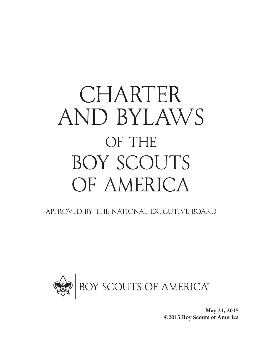# CHARTER AND BYLAWS OF THE BOY SCOUTS OF AMERICA

Approved by the National Executive Board



**May 21, 2015 ©2015 Boy Scouts of America**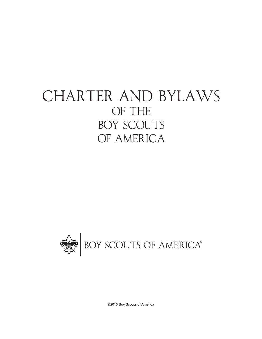## CHARTER AND BYLAWS OF THE BOY SCOUTS OF AMERICA



©2015 Boy Scouts of America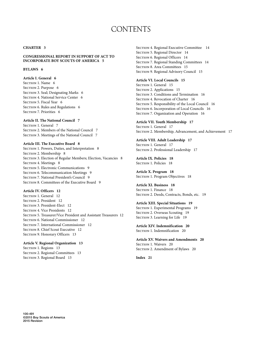### **CONTENTS**

#### **CHARTER 3**

**CONGRESSIONAL REPORT IN SUPPORT OF ACT TO INCORPORATE BOY SCOUTS OF AMERICA 5**

#### **BYLAWS 6**

**Article I. General 6** SECTION 1. Name 6 SECTION 2. Purpose 6 SECTION 3. Seal; Designating Marks 6 SECTION 4. National Service Center 6 SECTION 5. Fiscal Year 6 SECTION 6. Rules and Regulations 6 SECTION 7. Priorities 6

**Article II. The National Council 7** SECTION 1. General 7 SECTION 2. Members of the National Council 7 SECTION 3. Meetings of the National Council 7

#### **Article III. The Executive Board 8**

SECTION 1. Powers, Duties, and Interpretation 8 SECTION 2. Membership 8 SECTION 3. Election of Regular Members; Election, Vacancies 8 SECTION 4. Meetings 8 SECTION 5. Electronic Communications 9 SECTION 6. Telecommunication Meetings 9 SECTION 7. National President's Council 9 SECTION 8. Committees of the Executive Board 9

#### **Article IV. Officers 12**

SECTION 1. General 12 SECTION 2. President 12 SECTION 3. President-Elect 12 SECTION 4. Vice Presidents 12 SECTION 5. Treasurer/Vice President and Assistant Treasurers 12 SECTION 6. National Commissioner 12 SECTION 7. International Commissioner 12 SECTION 8. Chief Scout Executive 12 SECTION 9. Honorary Officers 13

**Article V. Regional Organization 13** SECTION 1. Regions 13

SECTION 2. Regional Committees 13 SECTION 3. Regional Board 13

SECTION 4. Regional Executive Committee 14 SECTION 5. Regional Director 14 SECTION 6. Regional Officers 14 SECTION 7. Regional Standing Committees 14 SECTION 8. Area Committees 15 SECTION 9. Regional Advisory Council 15

#### **Article VI. Local Councils 15**

SECTION 1. General 15 SECTION 2. Applications 15 SECTION 3. Conditions and Termination 16 SECTION 4. Revocation of Charter 16 SECTION 5. Responsibility of the Local Council 16 SECTION 6. Incorporation of Local Councils 16 SECTION 7. Organization and Operation 16

**Article VII. Youth Membership 17** SECTION 1. General 17 SECTION 2. Membership, Advancement, and Achievement 17

**Article VIII. Adult Leadership 17** SECTION 1. General 17 SECTION 2. Professional Leadership 17

**Article IX. Policies 18** SECTION 1. Policies 18

**Article X. Program 18** SECTION 1. Program Objectives 18

**Article XI. Business 18** SECTION 1. Finance 18 SECTION 2. Deeds, Contracts, Bonds, etc. 19

**Article XIII. Special Situations 19** SECTION 1. Experimental Programs 19 SECTION 2. Overseas Scouting 19 SECTION 3. Learning for Life 19

**Article XIV. Indemnification 20** SECTION 1. Indemnification 20

**Article XV. Waivers and Amendments 20** SECTION 1. Waivers 20 SECTION 2. Amendment of Bylaws 20

**Index 21**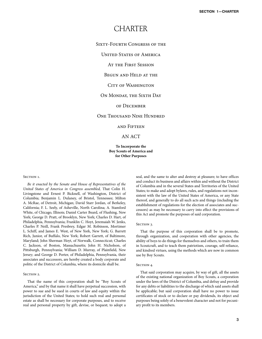### **CHARTER**

#### Sixty-Fourth Congress of the

UNITED STATES OF AMERICA

At the First Session

Begun and Held at the

#### CITY OF WASHINGTON

#### On Monday, the Sixth Day

#### of December

#### One Thousand Nine Hundred

and Fifteen

#### AN ACT

#### **To Incorporate the Boy Scouts of America and for Other Purposes**

#### SECTION<sub>1</sub>.

*Be it enacted by the Senate and House of Representatives of the United States of America in Congress assembled,* That Colin H. Livingstone and Ernest P. Bicknell, of Washington, District of Columbia; Benjamin L. Dulaney, of Bristol, Tennessee; Milton A. McRae, of Detroit, Michigan; David Starr Jordan, of Berkeley, California; F. L. Seely, of Asheville, North Carolina; A. Stamford White, of Chicago, Illinois; Daniel Carter Beard, of Flushing, New York; George D. Pratt, of Brooklyn, New York; Charles D. Hart, of Philadelphia, Pennsylvania; Franklin C. Hoyt, Jeremaiah W. Jenks, Charles P. Neill, Frank Presbrey, Edgar M. Robinson, Mortimer L. Schiff, and James E. West, of New York, New York; G. Barrett Rich, Junior, of Buffalo, New York; Robert Garrett, of Baltimore, Maryland; John Sherman Hoyt, of Norwalk, Connecticut; Charles C. Jackson, of Boston, Massachusetts; John H. Nicholson, of Pittsburgh, Pennsylvania; William D. Murray, of Plainfield, New Jersey; and George D. Porter, of Philadelphia, Pennsylvania, their associates and successors, are hereby created a body corporate and politic of the District of Columbia, where its domicile shall be.

#### SECTION 2.

That the name of this corporation shall be "Boy Scouts of America," and by that name it shall have perpetual succession, with power to sue and be sued in courts of law and equity within the jurisdiction of the United States; to hold such real and personal estate as shall be necessary for corporate purposes, and to receive real and personal property by gift, devise, or bequest; to adopt a

seal, and the same to alter and destroy at pleasure; to have offices and conduct its business and affairs within and without the District of Columbia and in the several States and Territories of the United States; to make and adopt bylaws, rules, and regulations not inconsistent with the law of the United States of America, or any State thereof, and generally to do all such acts and things (including the establishment of regulations for the election of associates and successors) as may be necessary to carry into effect the provisions of this Act and promote the purposes of said corporation.

#### SECTION 3.

That the purpose of this corporation shall be to promote, through organization, and cooperation with other agencies, the ability of boys to do things for themselves and others, to train them in Scoutcraft, and to teach them patriotism, courage, self-reliance, and kindred virtues, using the methods which are now in common use by Boy Scouts.

#### SECTION 4.

That said corporation may acquire, by way of gift, all the assets of the existing national organization of Boy Scouts, a corporation under the laws of the District of Columbia, and defray and provide for any debts or liabilities to the discharge of which said assets shall be applicable; but said corporation shall have no power to issue certificates of stock or to declare or pay dividends, its object and purposes being solely of a benevolent character and not for pecuniary profit to its members.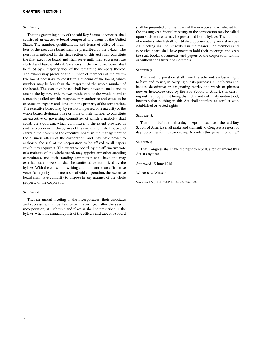#### SECTION 5.

That the governing body of the said Boy Scouts of America shall consist of an executive board composed of citizens of the United States. The number, qualifications, and terms of office of members of the executive board shall be prescribed by the bylaws. The persons mentioned in the first section of this Act shall constitute the first executive board and shall serve until their successors are elected and have qualified. Vacancies in the executive board shall be filled by a majority vote of the remaining members thereof. The bylaws may prescribe the number of members of the executive board necessary to constitute a quorum of the board, which number may be less than the majority of the whole number of the board. The executive board shall have power to make and to amend the bylaws, and, by two-thirds vote of the whole board at a meeting called for this purpose, may authorize and cause to be executed mortgages and liens upon the property of the corporation. The executive board may, by resolution passed by a majority of the whole board, designate three or more of their number to constitute an executive or governing committee, of which a majority shall constitute a quorum, which committee, to the extent provided in said resolution or in the bylaws of the corporation, shall have and exercise the powers of the executive board in the management of the business affairs of the corporation, and may have power to authorize the seal of the corporation to be affixed to all papers which may require it. The executive board, by the affirmative vote of a majority of the whole board, may appoint any other standing committees, and such standing committees shall have and may exercise such powers as shall be conferred or authorized by the bylaws. With the consent in writing and pursuant to an affirmative vote of a majority of the members of said corporation, the executive board shall have authority to dispose in any manner of the whole property of the corporation.

#### SECTION<sub>6</sub>.

That an annual meeting of the incorporators, their associates and successors, shall be held once in every year after the year of incorporation, at such time and place as shall be prescribed in the bylaws, when the annual reports of the officers and executive board

shall be presented and members of the executive board elected for the ensuing year. Special meetings of the corporation may be called upon such notice as may be prescribed in the bylaws. The number of members which shall constitute a quorum at any annual or special meeting shall be prescribed in the bylaws. The members and executive board shall have power to hold their meetings and keep the seal, books, documents, and papers of the corporation within or without the District of Columbia.

#### SECTION<sub>7</sub>.

That said corporation shall have the sole and exclusive right to have and to use, in carrying out its purposes, all emblems and badges, descriptive or designating marks, and words or phrases now or heretofore used by the Boy Scouts of America in carrying out its program, it being distinctly and definitely understood, however, that nothing in this Act shall interfere or conflict with established or vested rights.

#### SECTION 8.

That on or before the first day of April of each year the said Boy Scouts of America shall make and transmit to Congress a report of its proceedings for the year ending December thirty-first preceding.\*

#### SECTION 9.

That Congress shall have the right to repeal, alter, or amend this Act at any time.

Approved 15 June 1916

Woodrow Wilson

\*As amended August 30, 1964, Pub. L. 88-504, 78 Stat. 636.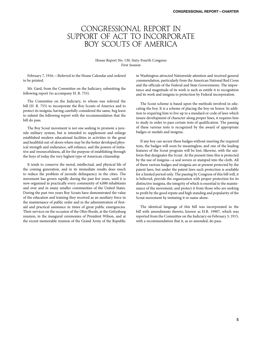### CONGRESSIONAL REPORT IN SUPPORT OF ACT TO INCORPORATE BOY SCOUTS OF AMERICA

#### House Report No. 130, Sixty-Fourth Congress First Session

February 7, 1916.—Referred to the House Calendar and ordered to be printed.

Mr. Gard, from the Committee on the Judiciary, submitting the following report (to accompany H. R. 755).

The Committee on the Judiciary, to whom was referred the bill (H. R. 755) to incorporate the Boy Scouts of America and to protect its insignia, having carefully considered the same, beg leave to submit the following report with the recommendation that the bill do pass.

The Boy Scout movement is not one seeking to promote a juvenile military system, but is intended to supplement and enlarge established modern educational facilities in activities in the great and healthful out-of-doors where may be the better developed physical strength and endurance, self-reliance, and the powers of initiative and resourcefulness, all for the purpose of establishing through the boys of today the very highest type of American citizenship.

It tends to conserve the moral, intellectual, and physical life of the coming generation, and in its immediate results does much to reduce the problem of juvenile delinquency in the cities. The movement has grown rapidly during the past few years, until it is now organized in practically every community of 4,000 inhabitants and over and in many smaller communities of the United States. During the past two years Boy Scouts have demonstrated the value of the education and training they received as an auxiliary force in the maintenance of public order and in the administration of firstaid and practical assistance in times of great public emergencies. Their services on the occasion of the Ohio floods, at the Gettysburg reunion, in the inaugural ceremonies of President Wilson, and at the recent memorable reunion of the Grand Army of the Republic

in Washington attracted Nationwide attention and received general commendation, particularly from the American National Red Cross and the officials of the Federal and State Governments. The importance and magnitude of its work is such as entitle it to recognition and its work and insignia to protection by Federal incorporation.

The Scout scheme is based upon the methods involved in educating the boy. It is a scheme of placing the boy on honor. In addition to requiring him to live up to a standard or code of laws which insure development of character along proper lines, it requires him to study in order to pass certain tests of qualification. The passing of these various tests is recognized by the award of appropriate badges or medals and insignia.

If any boy can secure these badges without meeting the required tests, the badges will soon be meaningless, and one of the leading features of the Scout program will be lost; likewise, with the uniform that designates the Scout. At the present time this is protected by the use of insignia—a seal woven or stamped into the cloth. All of these various badges and insignia are at present protected by the patent laws, but under the patent laws such protection is available for a limited period only. The passing by Congress of this bill will, it is believed, provide the organization with proper protection for its distinctive insignia, the integrity of which is essential to the maintenance of the movement, and protect it from those who are seeking to profit by the good repute and high standing and popularity of the Scout movement by imitating it in name alone.

The identical language of this bill was incorporated in the bill with amendments thereto, known as H.R. 19907, which was reported from the Committee on the Judiciary on February 3, 1915, with a recommendation that it, as so amended, do pass.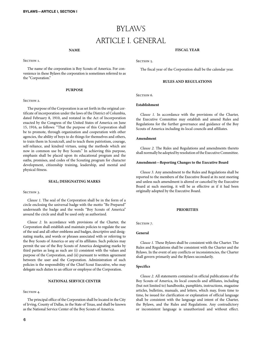### BYLAWS ARTICLE I. GENERAL

#### **NAME**

SECTION<sub>1</sub>.

The name of the corporation is Boy Scouts of America. For convenience in these Bylaws the corporation is sometimes referred to as the "Corporation."

#### **PURPOSE**

#### SECTION 2.

The purpose of the Corporation is as set forth in the original certificate of incorporation under the laws of the District of Columbia, dated February 8, 1910, and restated in the Act of Incorporation enacted by the Congress of the United States of America on June 15, 1916, as follows: "That the purpose of this Corporation shall be to promote, through organization and cooperation with other agencies, the ability of boys to do things for themselves and others, to train them in Scoutcraft, and to teach them patriotism, courage, self-reliance, and kindred virtues, using the methods which are now in common use by Boy Scouts." In achieving this purpose, emphasis shall be placed upon its educational program and the oaths, promises, and codes of the Scouting program for character development, citizenship training, leadership, and mental and physical fitness.

#### **SEAL; DESIGNATING MARKS**

#### SECTION 3.

*Clause 1.* The seal of the Corporation shall be in the form of a circle enclosing the universal badge with the motto "Be Prepared" underneath the badge and the words "Boy Scouts of America" around the circle and shall be used only as authorized.

*Clause 2.* In accordance with provisions of the Charter, the Corporation shall establish and maintain policies to regulate the use of the seal and all other emblems and badges, descriptive and designating marks, and words or phrases associated with or referring to the Boy Scouts of America or any of its affiliates. Such policies may permit the use of the Boy Scouts of America designating marks by third parties as long as such are (i) consistent with the values and purpose of the Corporation, and (ii) pursuant to written agreement between the user and the Corporation. Administration of such policies is the responsibility of the Chief Scout Executive, who may delegate such duties to an officer or employee of the Corporation.

#### **NATIONAL SERVICE CENTER**

#### SECTION 4.

The principal office of the Corporation shall be located in the City of Irving, County of Dallas, in the State of Texas, and shall be known as the National Service Center of the Boy Scouts of America.

#### **FISCAL YEAR**

SECTION 5.

The fiscal year of the Corporation shall be the calendar year.

#### **RULES AND REGULATIONS**

SECTION<sub>6</sub>.

#### **Establishment**

*Clause 1.* In accordance with the provisions of the Charter, the Executive Committee may establish and amend Rules and Regulations for the further governance and guidance of the Boy Scouts of America including its local councils and affiliates.

#### **Amendment**

*Clause 2.* The Rules and Regulations and amendments thereto shall normally be adopted by resolution of the Executive Committee.

#### **Amendment—Reporting Changes to the Executive Board**

*Clause 3.* Any amendment to the Rules and Regulations shall be reported to the members of the Executive Board at its next meeting and unless such amendment is altered or canceled by the Executive Board at such meeting, it will be as effective as if it had been originally adopted by the Executive Board.

#### **PRIORITIES**

SECTION<sub>7</sub>.

#### **General**

*Clause 1.* These Bylaws shall be consistent with the Charter. The Rules and Regulations shall be consistent with the Charter and the Bylaws. In the event of any conflicts or inconsistencies, the Charter shall govern primarily and the Bylaws secondarily.

#### **Specifics**

*Clause 2.* All statements contained in official publications of the Boy Scouts of America, its local councils and affiliates, including (but not limited to) handbooks, pamphlets, instructions, magazine articles, bulletins, manuals, and letters, which may, from time to time, be issued for clarification or explanation of official language shall be consistent with the language and intent of the Charter, the Bylaws, and the Rules and Regulations. Any contradictory or inconsistent language is unauthorized and without effect.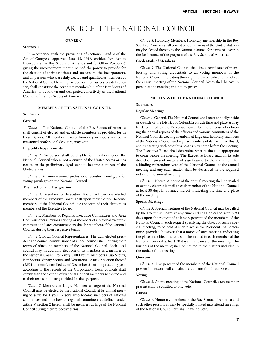### ARTICLE II. THE NATIONAL COUNCIL

#### **GENERAL**

#### SECTION 1.

In accordance with the provisions of sections 1 and 2 of the Act of Congress, approved June 15, 1916, entitled "An Act to Incorporate the Boy Scouts of America and for Other Purposes," giving the incorporators therein named the power to provide for the election of their associates and successors, the incorporators, and all persons who were duly elected and qualified as members of the National Council herein provided for their successors duly chosen, shall constitute the corporate membership of the Boy Scouts of America, to be known and designated collectively as the National Council of the Boy Scouts of America.

#### **MEMBERS OF THE NATIONAL COUNCIL**

#### SECTION 2.

#### **General**

*Clause 1.* The National Council of the Boy Scouts of America shall consist of elected and ex officio members as provided for in these Bylaws. All members, except honorary members and commissioned professional Scouters, may vote.

#### **Eligibility Requirements**

*Clause 2.* No person shall be eligible for membership on the National Council who is not a citizen of the United States or has not taken the preliminary legal steps to become a citizen of the United States.

*Clause 3.* A commissioned professional Scouter is ineligible for voting privileges on the National Council.

#### **The Election and Designation**

*Clause 4.* Members of Executive Board. All persons elected members of the Executive Board shall upon their election become members of the National Council for the term of their election as members of the Executive Board.

*Clause 5.* Members of Regional Executive Committees and Area Commissioners. Persons serving as members of a regional executive committee and area commissioners shall be members of the National Council during their respective terms.

*Clause 6.* Local Council Representatives. The duly elected president and council commissioner of a local council shall, during their terms of office, be members of the National Council. Each local council may, in addition, elect one of its members as a member of the National Council for every 5,000 youth members (Cub Scouts, Boy Scouts, Varsity Scouts, and Venturers), or major portion thereof (2,501 or more), enrolled as of December 31 of the preceding year according to the records of the Corporation. Local councils shall certify as to the election of National Council members so elected and to their terms on forms provided for that purpose.

*Clause 7.* Members at Large. Members at large of the National Council may be elected by the National Council at its annual meeting to serve for 1 year. Persons who become members of national committees and members of regional committees as defined under article V, section 2 hereof, shall be members at large of the National Council during their respective terms.

*Clause 8.* Honorary Members. Honorary membership in the Boy Scouts of America shall consist of such citizens of the United States as may be elected thereto by the National Council for terms of 1 year in the furtherance of the program of the Boy Scouts of America.

#### **Credentials of Members**

*Clause 9.* The National Council shall issue certificates of membership and voting credentials to all voting members of the National Council indicating their right to participate and to vote at the annual meeting of the National Council. Votes shall be cast in person at the meeting and not by proxy.

#### **MEETINGS OF THE NATIONAL COUNCIL**

SECTION 3.

#### **Regular Meetings**

*Clause 1.* General. The National Council shall meet annually inside or outside of the District of Columbia at such time and place as may be determined by the Executive Board, for the purpose of delivering the annual reports of the officers and various committees of the National Council, electing members at large and honorary members of the National Council and regular members of its Executive Board, and transacting such other business as may come before the meeting. The Executive Board shall determine what business is appropriate to come before the meeting. The Executive Board may, in its sole discretion, present matters of significance to the movement for a binding referendum vote of the National Council at the annual meeting and any such matter shall be described in the required notice of the annual meeting.

*Clause 2.* Notice. A notice of the annual meeting shall be mailed or sent by electronic mail to each member of the National Council at least 30 days in advance thereof, indicating the time and place of the meeting.

#### **Special Meetings**

*Clause 3.* Special meetings of the National Council may be called by the Executive Board at any time and shall be called within 90 days upon the request of at least 5 percent of the members of the National Council (such request specifying the object of such a special meeting) to be held at such place as the President shall determine, provided, however, that a notice of such meeting, indicating the place and object thereof, shall be mailed to each member of the National Council at least 30 days in advance of the meeting. The business of the meeting shall be limited to the matters included in the notice of the meeting.

#### **Quorum**

*Clause 4.* Five percent of the members of the National Council present in person shall constitute a quorum for all purposes.

#### **Voting**

*Clause 5.* At any meeting of the National Council, each member present shall be entitled to one vote.

#### **Guests**

*Clause 6.* Honorary members of the Boy Scouts of America and such other persons as may be specially invited may attend meetings of the National Council but shall have no vote.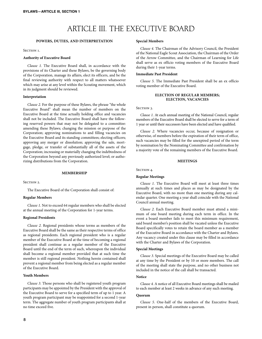### ARTICLE III. THE EXECUTIVE BOARD

#### **POWERS, DUTIES, AND INTERPRETATION**

SECTION 1.

#### **Authority of Executive Board**

*Clause 1.* The Executive Board shall, in accordance with the provisions of its Charter and these Bylaws, be the governing body of the Corporation, manage its affairs, elect its officers, and be the final reviewing authority with respect to all matters whatsoever which may arise at any level within the Scouting movement, which in its judgment should be reviewed.

#### **Interpretation**

*Clause 2.* For the purpose of these Bylaws, the phrase "the whole Executive Board" shall mean the number of members on the Executive Board at the time actually holding office and vacancies shall not be included. The Executive Board shall have the following reserved powers that may not be delegated to a committee: amending these Bylaws; changing the mission or purpose of the Corporation; approving nominations to and filling vacancies on the Executive Board and its standing committees; electing officers; approving any merger or dissolution; approving the sale, mortgage, pledge, or transfer of substantially all of the assets of the Corporation; increasing or materially changing the indebtedness of the Corporation beyond any previously authorized level; or authorizing distributions from the Corporation.

#### **MEMBERSHIP**

SECTION 2.

The Executive Board of the Corporation shall consist of:

#### **Regular Members**

*Clause 1.* Not to exceed 64 regular members who shall be elected at the annual meeting of the Corporation for 1-year terms.

#### **Regional Presidents**

*Clause 2.* Regional presidents whose terms as members of the Executive Board shall be the same as their respective terms of office as regional presidents. Each regional president who is a regular member of the Executive Board at the time of becoming a regional president shall continue as a regular member of the Executive Board until the end of the term of such, whereupon the individual shall become a regional member provided that at such time the member is still regional president. Nothing herein contained shall prevent a regional member from being elected as a regular member of the Executive Board.

#### **Youth Members**

*Clause 3.* Those persons who shall be registered youth program participants may be appointed by the President with the approval of the Executive Board to serve for a specified term of up to 1 year. A youth program participant may be reappointed for a second 1-year term. The aggregate number of youth program participants shall at no time exceed five.

#### **Special Members**

*Clause 4.* The Chairman of the Advisory Council, the President of the National Eagle Scout Association, the Chairman of the Order of the Arrow Committee, and the Chairman of Learning for Life shall serve as ex officio voting members of the Executive Board during their 1-year terms.

#### **Immediate Past President**

*Clause 5.* The Immediate Past President shall be an ex officio voting member of the Executive Board.

#### **ELECTION OF REGULAR MEMBERS; ELECTION, VACANCIES**

#### SECTION 3.

*Clause 1.* At each annual meeting of the National Council, regular members of the Executive Board shall be elected to serve for a term of 1 year or until their successors have been elected and have qualified.

*Clause 2.* Where vacancies occur, because of resignation or otherwise, of members before the expiration of their term of office, such vacancies may be filled for the unexpired period of the term by nomination by the Nominating Committee and confirmation by a majority vote of the remaining members of the Executive Board.

#### **MEETINGS**

SECTION 4.

#### **Regular Meetings**

*Clause 1.* The Executive Board will meet at least three times annually at such times and places as may be designated by the Executive Board, with no more than one meeting during any calendar quarter. One meeting a year shall coincide with the National Council annual meeting.

*Clause 2.* Each Executive Board member must attend a minimum of one board meeting during each term in office. In the event a board member fails to meet this minimum requirement, said board member's position shall be vacated unless the Executive Board specifically votes to retain the board member as a member of the Executive Board in accordance with the Charter and Bylaws. Any vacancy created under this clause may be filled in accordance with the Charter and Bylaws of the Corporation.

#### **Special Meetings**

*Clause 3.* Special meetings of the Executive Board may be called at any time by the President or by 10 or more members. The call of the meeting shall state the purpose, and no other business not included in the notice of the call shall be transacted.

#### **Notice**

*Clause 4.* A notice of all Executive Board meetings shall be mailed to each member at least 2 weeks in advance of any such meeting.

#### **Quorum**

*Clause 5.* One-half of the members of the Executive Board, present in person, shall constitute a quorum.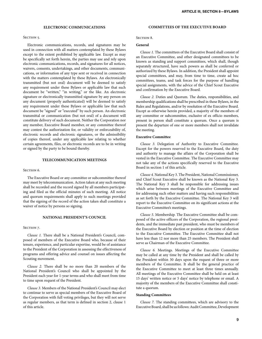#### **ELECTRONIC COMMUNICATIONS**

#### SECTION<sub>5</sub>.

Electronic communications, records, and signatures may be used in connection with all matters contemplated by these Bylaws except to the extent prohibited by applicable law. Except as may be specifically set forth herein, the parties may use and rely upon electronic communications, records, and signatures for all notices, waivers, consents, undertakings, and other documents, communications, or information of any type sent or received in connection with the matters contemplated by these Bylaws. An electronically transmitted (but not oral) document will be deemed to satisfy any requirement under these Bylaws or applicable law that such document be "written," "in writing," or the like. An electronic signature or electronically transmitted signature by any person on any document (properly authenticated) will be deemed to satisfy any requirement under these Bylaws or applicable law that such document be "signed" or "executed" by such person. An electronic transmittal or communication (but not oral) of a document will constitute delivery of such document. Neither the Corporation nor any member, Executive Board member, or any committee thereof may contest the authorization for, or validity or enforceability of, electronic records and electronic signatures, or the admissibility of copies thereof, under any applicable law relating to whether certain agreements, files, or electronic records are to be in writing or signed by the party to be bound thereby.

#### **TELECOMMUNICATION MEETINGS**

#### SECTION<sub>6</sub>.

The Executive Board or any committee or subcommittee thereof may meet by telecommunication. Action taken at any such meeting shall be recorded and the record signed by all members participating and filed as the official minutes of such meeting. All notice and quorum requirements shall apply to such meetings provided that the signing of the record of the action taken shall constitute a waiver of notice by persons so signing.

#### **NATIONAL PRESIDENT'S COUNCIL**

#### SECTION<sub>7</sub>.

*Clause 1.* There shall be a National President's Council, composed of members of the Executive Board who, because of their tenure, experience, and particular expertise, would be of assistance to the President of the Corporation in assessing the effectiveness of programs and offering advice and counsel on issues affecting the Scouting movement.

*Clause 2.* There shall be no more than 20 members of the National President's Council who shall be appointed by the President each year for 1-year terms and who shall meet from time to time upon request of the President.

*Clause 3.* Members of the National President's Council may elect to continue to serve as special members of the Executive Board of the Corporation with full voting privileges, but they will not serve as regular members, as that term is defined in section 2, clause 1 of this article.

#### **COMMITTEES OF THE EXECUTIVE BOARD**

#### SECTION 8.

#### **General**

*Clause 1.* The committees of the Executive Board shall consist of an Executive Committee, and other designated committees to be known as standing and support committees, which shall, though separately structured, have such powers as shall be conferred or authorized by these Bylaws. In addition, the President shall appoint special committees, and may, from time to time, create ad hoc committees, teams, and task forces for the purpose of handling special assignments, with the advice of the Chief Scout Executive and confirmation by the Executive Board.

*Clause 2.* Duties and Quorum. The duties, responsibilities, and membership qualifications shall be prescribed in these Bylaws, in the Rules and Regulations, and/or by resolution of the Executive Board. Except as otherwise herein provided, a majority of the members of any committee or subcommittee, exclusive of ex officio members, present in person shall constitute a quorum. Once a quorum is present the departure of one or more members shall not invalidate the meeting.

#### **Executive Committee**

*Clause 3.* Delegation of Authority to Executive Committee. Except for the powers reserved to the Executive Board, the duty and authority to manage the affairs of the Corporation shall be vested in the Executive Committee. The Executive Committee may not take any of the actions specifically reserved to the Executive Board in section 1 of this article.

*Clause 4.* National Key 3. The President, National Commissioner, and Chief Scout Executive shall be known as the National Key 3. The National Key 3 shall be responsible for addressing issues which arise between meetings of the Executive Committee and for addressing such other matters and having such responsibilities as set forth by the Executive Committee. The National Key 3 will report to the Executive Committee on its significant actions at the Executive Committee's meetings.

*Clause 5.* Membership. The Executive Committee shall be composed of the active officers of the Corporation, the regional presidents, and the immediate past president, who must be members of the Executive Board by election or position at the time of election to the Executive Committee. The Executive Committee shall not have less than 12 nor more than 25 members. The President shall serve as Chairman of the Executive Committee.

*Clause 6.* Meetings. Meetings of the Executive Committee may be called at any time by the President and shall be called by the President within 30 days upon the request of three or more members of the Committee. It shall be the general practice of the Executive Committee to meet at least three times annually. All meetings of the Executive Committee shall be held on at least 15 days' written notice or 5 days' notice by telephone or email. A majority of the members of the Executive Committee shall constitute a quorum.

#### **Standing Committees**

*Clause 7.* The standing committees, which are advisory to the Executive Board, shall be as follows: Audit Committee, Development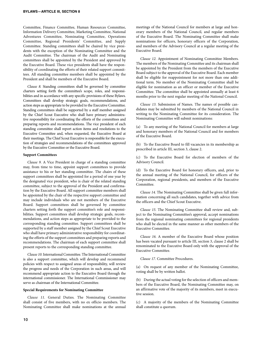Committee, Finance Committee, Human Resources Committee, Information Delivery Committee, Marketing Committee, National Adventures Committee, Nominating Committee, Operations Committee, Regional Presidents' Committee, and Supply Committee. Standing committees shall be chaired by vice presidents with the exception of the Nominating Committee and the Audit Committee. The chairman of the Audit and Nominating committees shall be appointed by the President and approved by the Executive Board. These vice presidents shall have the responsibility of coordinating the efforts of their related support committees. All standing committee members shall be appointed by the President and shall be members of the Executive Board.

*Clause 8.* Standing committees shall be governed by committee charters setting forth the committee's scope, roles, and responsibilities and in accordance with any specific provisions of these Bylaws. Committees shall develop strategic goals, recommendations, and action steps as appropriate to be provided to the Executive Committee. Standing committees shall be supported by a staff member assigned by the Chief Scout Executive who shall have primary administrative responsibility for coordinating the efforts of the committees and preparing reports and recommendations. The vice president of each standing committee shall report action items and resolutions to the Executive Committee and, when requested, the Executive Board at their meetings. The Chief Scout Executive is responsible for the execution of strategies and recommendations of the committees approved by the Executive Committee or the Executive Board.

#### **Support Committees**

*Clause 9.* A Vice President in charge of a standing committee may, from time to time, appoint support committees to provide assistance to his or her standing committee. The chairs of these support committees shall be appointed for a period of one year by the designated vice president, who is chair of the related standing committee, subject to the approval of the President and confirmation by the Executive Board. All support committee members shall be appointed by the chair of the respective support committee and may include individuals who are not members of the Executive Board. Support committees shall be governed by committee charters setting forth the support committee's role and responsibilities. Support committees shall develop strategic goals, recommendations, and action steps as appropriate to be provided to the corresponding standing committee. Support committees shall be supported by a staff member assigned by the Chief Scout Executive who shall have primary administrative responsibility for coordinating the efforts of the support committees and preparing reports and recommendations. The chairman of each support committee shall present reports to the corresponding standing committee.

*Clause 10.* International Committee. The International Committee is also a support committee, which will develop and recommend policies with respect to assigned areas of responsibility, will review the progress and needs of the Corporation in such areas, and will recommend appropriate action to the Executive Board through the international commissioner. The International Commissioner may serve as chairman of the International Committee.

#### **Special Requirements for Nominating Committee**

*Clause 11.* General Duties. The Nominating Committee shall consist of five members, with no ex officio members. The Nominating Committee shall make nominations at the annual meetings of the National Council for members at large and honorary members of the National Council, and regular members of the Executive Board. The Nominating Committee shall make nominations for officers, honorary officers of the Corporation, and members of the Advisory Council at a regular meeting of the Executive Board.

*Clause 12.* Appointment of Nominating Committee Members. The members of the Nominating Committee and its chairman shall be appointed by the President from the members of the Executive Board subject to the approval of the Executive Board. Each member shall be eligible for reappointment for not more than one additional term. No member of the Nominating Committee shall be eligible for nomination as an officer or member of the Executive Committee. The committee shall be appointed annually at least 6 months prior to the next regular meeting of the National Council.

*Clause 13.* Submission of Names. The names of possible candidates may be submitted by members of the National Council in writing to the Nominating Committee for its consideration. The Nominating Committee will submit nominations:

(a) To any meeting of the National Council for members at large and honorary members of the National Council and for members of the Executive Board.

(b) To the Executive Board to fill vacancies in its membership as prescribed in article III, section 3, clause 2.

(c) To the Executive Board for election of members of the Advisory Council.

(d) To the Executive Board for honorary officers, and, prior to the annual meeting of the National Council, for officers of the Corporation, regional presidents, and members of the Executive Committee.

*Clause 14.* The Nominating Committee shall be given full information concerning all such candidates, together with advice from the officers and the Chief Scout Executive.

*Clause 15.* The Nominating Committee shall review and, subject to the Nominating Committee's approval, accept nominations from the regional nominating committees for regional presidents who shall be elected in the same manner as other members of the Executive Committee.

*Clause 16.* A member of the Executive Board whose position has been vacated pursuant to article III, section 3, clause 2 shall be renominated to the Executive Board only with the approval of the Executive Committee.

*Clause 17.* Committee Procedures.

(a) On request of any member of the Nominating Committee, voting shall be by written ballot.

(b) During the actual voting for the selection of officers and members of the Executive Board, the Nominating Committee may, on an affirmative vote of the majority of its members, meet in executive session.

(c) A majority of the members of the Nominating Committee shall constitute a quorum.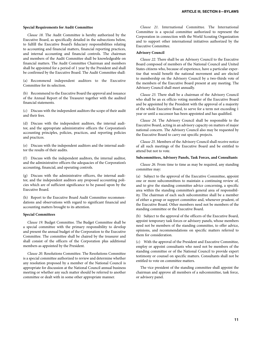#### **Special Requirements for Audit Committee**

*Clause 18.* The Audit Committee is hereby authorized by the Executive Board, as specifically detailed in the subsections below, to fulfill the Executive Board's fiduciary responsibilities relating to accounting and financial matters, financial reporting practices, and internal accounting and financial controls. The chairman and members of the Audit Committee shall be knowledgeable on financial matters. The Audit Committee Chairman and members shall be appointed for a period of 1 year by the President and shall be confirmed by the Executive Board. The Audit Committee shall:

(a) Recommend independent auditors to the Executive Committee for its selection.

(b) Recommend to the Executive Board the approval and issuance of the Annual Report of the Treasurer together with the audited financial statements.

(c) Discuss with the independent auditors the scope of their audit and their fees.

(d) Discuss with the independent auditors, the internal auditor, and the appropriate administrative officers the Corporation's accounting principles, policies, practices, and reporting policies and practices.

(e) Discuss with the independent auditors and the internal auditor the results of their audits.

(f) Discuss with the independent auditors, the internal auditor, and the administrative officers the adequacies of the Corporation's accounting, financial, and operating controls.

(g) Discuss with the administrative officers, the internal auditor, and the independent auditors any proposed accounting policies which are of sufficient significance to be passed upon by the Executive Board.

(h) Report to the Executive Board Audit Committee recommendations and observations with regard to significant financial and accounting matters brought to its attention.

#### **Special Committees**

*Clause 19.* Budget Committee. The Budget Committee shall be a special committee with the primary responsibility to develop and present the annual budget of the Corporation to the Executive Committee. The committee shall be chaired by the treasurer and shall consist of the officers of the Corporation plus additional members as appointed by the President.

*Clause 20.* Resolutions Committee. The Resolutions Committee is a special committee authorized to review and determine whether any resolution proposed by a member of the National Council is appropriate for discussion at the National Council annual business meeting or whether any such matter should be referred to another committee or dealt with in some other appropriate manner.

*Clause 21.* International Committee. The International Committee is a special committee authorized to represent the Corporation in connection with the World Scouting Organization and to support other international initiatives authorized by the Executive Committee.

#### **Advisory Council**

*Clause 22.* There shall be an Advisory Council to the Executive Board composed of members of the National Council and United States citizens who, because of experience, have a particular expertise that would benefit the national movement and are elected to membership on the Advisory Council by a two-thirds vote of the members of the Executive Board present at any meeting. The Advisory Council shall meet annually.

*Clause 23.* There shall be a chairman of the Advisory Council who shall be an ex officio voting member of the Executive Board and be appointed by the President with the approval of a majority of the whole Executive Board, to serve for a term not exceeding 1 year or until a successor has been appointed and has qualified.

*Clause 24.* The Advisory Council shall be responsible to the Executive Board, acting in an advisory capacity on matters of major national concern. The Advisory Council also may be requested by the Executive Board to carry out specific projects.

*Clause 25.* Members of the Advisory Council shall receive notice of all such meetings of the Executive Board and be entitled to attend but not to vote.

#### **Subcommittees, Advisory Panels, Task Forces, and Consultants**

*Clause 26.* From time to time as may be required, any standing committee may:

(a) Subject to the approval of the Executive Committee, appoint one or more subcommittees to maintain a continuing review of, and to give the standing committee advice concerning, a specific area within the standing committee's general area of responsibility. The chairman of each such subcommittee shall be a member of either a group or support committee and, whenever prudent, of the Executive Board. Other members need not be members of the standing committee or the Executive Board.

(b) Subject to the approval of the officers of the Executive Board, appoint temporary task forces or advisory panels, whose members need not be members of the standing committee, to offer advice, opinions, and recommendations on specific matters referred to them for consideration.

(c) With the approval of the President and Executive Committee, employ or appoint consultants who need not be members of the standing committee or of the National Council to provide expert testimony or counsel on specific matters. Consultants shall not be entitled to vote on committee matters.

The vice president of the standing committee shall appoint the chairman and approve all members of a subcommittee, task force, or advisory panel.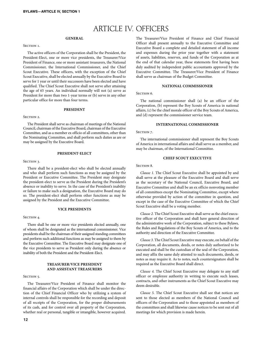### ARTICLE IV. OFFICERS

#### **GENERAL**

#### SECTION<sub>1</sub>.

The active officers of the Corporation shall be the President, the President-Elect, one or more vice presidents, the Treasurer/Vice President of Finance, one or more assistant treasurers, the National Commissioner, the International Commissioner, and the Chief Scout Executive. These officers, with the exception of the Chief Scout Executive, shall be elected annually by the Executive Board to serve for 1 year or until their successors have been elected and have qualified. The Chief Scout Executive shall not serve after attaining the age of 65 years. An individual normally will not (a) serve as President for more than two 1-year terms or (b) serve in any other particular office for more than four terms.

#### **PRESIDENT**

#### $S_{ECTION}$  2.

The President shall serve as chairman of meetings of the National Council, chairman of the Executive Board, chairman of the Executive Committee, and as a member ex officio of all committees, other than the Nominating Committee, and shall perform such duties as are or may be assigned by the Executive Board.

#### **PRESIDENT-ELECT**

#### SECTION 3.

There shall be a president-elect who shall be elected annually and who shall perform such functions as may be assigned by the President or Executive Committee. The President may designate the president-elect to serve as the President during the President's absence or inability to serve. In the case of the President's inability or failure to make such a designation, the Executive Board may do so. The president-elect shall perform other functions as may be assigned by the President and the Executive Committee.

#### **VICE PRESIDENTS**

#### SECTION 4.

There shall be one or more vice presidents elected annually, one of whom shall be designated as the international commissioner. Vice presidents shall be the chairman of their assigned standing committees and perform such additional functions as may be assigned to them by the Executive Committee. The Executive Board may designate one of the vice presidents to serve as President only during the absence or inability of both the President and the President-Elect.

#### **TREASURER/VICE PRESIDENT AND ASSISTANT TREASURERS**

#### SECTION<sub>5</sub>.

The Treasurer/Vice President of Finance shall monitor the financial affairs of the Corporation which shall be under the direction of the Chief Financial Officer who by utilizing a system of internal controls shall be responsible for the recording and deposit of all receipts of the Corporation, for the proper disbursements of its cash, and for control over all property of the Corporation, whether real or personal, tangible or intangible, however acquired. The Treasurer/Vice President of Finance and Chief Financial Officer shall present annually to the Executive Committee and Executive Board a complete and detailed statement of all income and expenses during the prior year together with a statement of assets, liabilities, reserves, and funds of the Corporation as at the end of that calendar year, these statements first having been duly audited by independent public accountants approved by the Executive Committee. The Treasurer/Vice President of Finance shall serve as chairman of the Budget Committee.

#### **NATIONAL COMMISSIONER**

SECTION<sub>6</sub>.

The national commissioner shall (a) be an officer of the Corporation, (b) represent the Boy Scouts of America in national affairs, (c) be the chief morale officer of the Boy Scouts of America, and (d) represent the commissioner service team.

#### **INTERNATIONAL COMMISSIONER**

SECTION<sub>7</sub>.

The international commissioner shall represent the Boy Scouts of America in international affairs and shall serve as a member, and may be chairman, of the International Committee.

#### **CHIEF SCOUT EXECUTIVE**

SECTION 8.

*Clause 1.* The Chief Scout Executive shall be appointed by and shall serve at the pleasure of the Executive Board and shall serve as the secretary of the National Council, Executive Board, and Executive Committee and shall be an ex officio nonvoting member of all committees except the Nominating Committee, except where otherwise provided by action of the committee in question, and except in the case of the Executive Committee of which the Chief Scout Executive shall be a voting member.

*Clause 2.* The Chief Scout Executive shall serve as the chief executive officer of the Corporation and shall have general direction of the administrative work of the Corporation, subject to these Bylaws, the Rules and Regulations of the Boy Scouts of America, and to the authority and direction of the Executive Committee.

*Clause 3.* The Chief Scout Executive may execute, on behalf of the Corporation, all documents, deeds, or notes duly authorized to be executed and shall be the custodian of the seal of the Corporation, and may affix the same duly attested to such documents, deeds, or notes as may require it. As to notes, such countersignature shall be required as the Executive Board shall direct.

*Clause 4.* The Chief Scout Executive may delegate to any staff officer or employee authority in writing to execute such leases, contracts, and other instruments as the Chief Scout Executive may deem desirable.

*Clause 5.* The Chief Scout Executive shall see that notices are sent to those elected as members of the National Council and officers of the Corporation and to those appointed as members of the committees and shall likewise cause notices to be sent out of all meetings for which provision is made herein.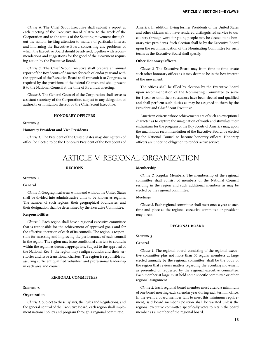*Clause 7.* The Chief Scout Executive shall prepare an annual report of the Boy Scouts of America for each calendar year and with the approval of the Executive Board shall transmit it to Congress, as required by the provisions of the federal Charter, and shall present it to the National Council at the time of its annual meeting.

*Clause 8.* The General Counsel of the Corporation shall serve as assistant secretary of the Corporation, subject to any delegation of authority or limitation thereof by the Chief Scout Executive.

#### **HONORARY OFFICERS**

SECTION 9.

#### **Honorary President and Vice Presidents**

*Clause 1.* The President of the United States may, during term of office, be elected to be the Honorary President of the Boy Scouts of

America. In addition, living former Presidents of the United States and other citizens who have rendered distinguished service to our country through work for young people may be elected to be honorary vice presidents. Such election shall be by the Executive Board upon the recommendation of the Nominating Committee for such terms as the Executive Board shall specify.

#### **Other Honorary Officers**

*Clause 2.* The Executive Board may from time to time create such other honorary offices as it may deem to be in the best interest of the movement.

The offices shall be filled by election by the Executive Board upon recommendation of the Nominating Committee to serve for 1 year or until their successors have been elected and qualified and shall perform such duties as may be assigned to them by the President and Chief Scout Executive.

American citizens whose achievements are of such an exceptional character as to capture the imagination of youth and stimulate their enthusiasm for the program of the Boy Scouts of America may, upon the unanimous recommendation of the Executive Board, be elected by the National Council to become honorary officers. Honorary officers are under no obligation to render active service.

### ARTICLE V. REGIONAL ORGANIZATION

#### **REGIONS**

Section 1.

#### **General**

*Clause 1.* Geographical areas within and without the United States shall be divided into administrative units to be known as regions. The number of such regions, their geographical boundaries, and their designation shall be determined by the Executive Committee.

#### **Responsibilities**

*Clause 2.* Each region shall have a regional executive committee that is responsible for the achievement of approved goals and for the effective operation of each of its councils. The region is responsible for assessing and improving the performance of each council in the region. The region may issue conditional charters to councils within the region as deemed appropriate. Subject to the approval of the National Key 3, the region may realign councils and their territories and issue transitional charters. The region is responsible for assuring sufficient qualified volunteer and professional leadership in each area and council.

#### **REGIONAL COMMITTEES**

#### SECTION 2.

#### **Organization**

*Clause 1.* Subject to these Bylaws, the Rules and Regulations, and the general control of the Executive Board, each region shall implement national policy and program through a regional committee.

#### **Membership**

*Clause 2.* Regular Members. The membership of the regional committee shall consist of members of the National Council residing in the region and such additional members as may be elected by the regional committee.

#### **Meetings**

*Clause 3.* Each regional committee shall meet once a year at such time and place as the regional executive committee or president may direct.

#### **REGIONAL BOARD**

SECTION 3.

#### **General**

*Clause 1.* The regional board, consisting of the regional executive committee plus not more than 50 regular members at large elected annually by the regional committee, shall be the body of the region that reviews matters regarding the Scouting movement as presented or requested by the regional executive committee. Each member at large must hold some specific committee or other regional assignment.

*Clause 2.* Each regional board member must attend a minimum of one board meeting each calendar year during each term in office. In the event a board member fails to meet this minimum requirement, said board member's position shall be vacated unless the regional executive committee specifically votes to retain the board member as a member of the regional board.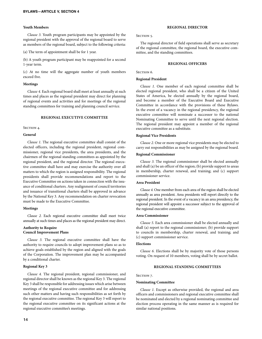#### **Youth Members**

*Clause 3.* Youth program participants may be appointed by the regional president with the approval of the regional board to serve as members of the regional board, subject to the following criteria:

(a) The term of appointment shall be for 1 year.

(b) A youth program participant may be reappointed for a second 1-year term.

(c) At no time will the aggregate number of youth members exceed five.

#### **Meetings**

*Clause 4.* Each regional board shall meet at least annually at such times and places as the regional president may direct for planning of regional events and activities and for meetings of the regional standing committees for training and planning council service.

#### **REGIONAL EXECUTIVE COMMITTEE**

#### SECTION 4.

#### **General**

*Clause 1.* The regional executive committee shall consist of the elected officers, including the regional president, regional commissioner, regional vice presidents, the area presidents, and the chairmen of the regional standing committees as appointed by the regional president, and the regional director. The regional executive committee shall have and may exercise the authority over all matters to which the region is assigned responsibility. The regional presidents shall provide recommendations and report to the Executive Committee on actions taken in connection with the issuance of conditional charters. Any realignment of council territories and issuance of transitional charters shall be approved in advance by the National Key 3. Any recommendation on charter revocation must be made to the Executive Committee.

#### **Meetings**

*Clause 2.* Each regional executive committee shall meet twice annually at such times and places as the regional president may direct.

#### **Authority to Require Council Improvement Plans**

*Clause 3.* The regional executive committee shall have the authority to require councils to adopt improvement plans so as to achieve goals established by the region and aligned with the goals of the Corporation. The improvement plan may be accompanied by a conditional charter.

#### **Regional Key 3**

*Clause 4.* The regional president, regional commissioner, and regional director shall be known as the regional Key 3. The regional Key 3 shall be responsible for addressing issues which arise between meetings of the regional executive committee and for addressing such other matters and having such responsibilities as set forth by the regional executive committee. The regional Key 3 will report to the regional executive committee on its significant actions at the regional executive committee's meetings.

#### SECTION<sub>5</sub>.

The regional director of field operations shall serve as secretary of the regional committee, the regional board, the executive committee, and the standing committees.

#### **REGIONAL OFFICERS**

SECTION<sub>6</sub>.

#### **Regional President**

*Clause 1.* One member of each regional committee shall be elected regional president, who shall be a citizen of the United States of America, be elected annually by the regional board, and become a member of the Executive Board and Executive Committee in accordance with the provisions of these Bylaws. In the event of a vacancy in the regional presidency, the regional executive committee will nominate a successor to the national Nominating Committee to serve until the next regional election. The regional president may appoint a member of the regional executive committee as a substitute.

#### **Regional Vice Presidents**

*Clause 2.* One or more regional vice presidents may be elected to carry out responsibilities as may be assigned by the regional board.

#### **Regional Commissioner**

*Clause 3.* The regional commissioner shall be elected annually and shall (a) be an officer of the region; (b) provide support to areas in membership, charter renewal, and training; and (c) support commissioner service.

#### **Area President**

*Clause 4.* One member from each area of the region shall be elected annually as area president. Area presidents will report directly to the regional president. In the event of a vacancy in an area presidency, the regional president will appoint a successor subject to the approval of the regional executive committee.

#### **Area Commissioner**

*Clause 5.* Each area commissioner shall be elected annually and shall (a) report to the regional commissioner; (b) provide support to councils in membership, charter renewal, and training; and (c) support commissioner service.

#### **Elections**

*Clause 6.* Elections shall be by majority vote of those persons voting. On request of 10 members, voting shall be by secret ballot.

#### **REGIONAL STANDING COMMITTEES**

#### SECTION<sub>7</sub>.

#### **Nominating Committee**

*Clause 1.* Except as otherwise provided, the regional and area officers and commissioners and regional executive committee shall be nominated and elected by a regional nominating committee and election process operating in the same manner as is required for similar national positions.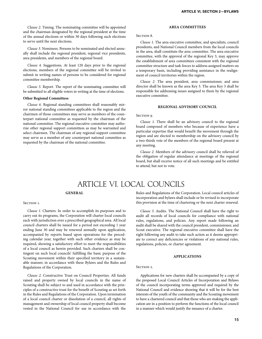*Clause 2.* Timing. The nominating committee will be appointed and the chairman designated by the regional president at the time of the annual elections or within 30 days following such elections to serve until the next elections.

*Clause 3.* Nominees. Persons to be nominated and elected annually shall include the regional president, regional vice presidents, area presidents, and members of the regional board.

*Clause 4.* Suggestions. At least 120 days prior to the regional elections, members of the regional committee will be invited to submit in writing names of persons to be considered for regional committee membership.

*Clause 5.* Report. The report of the nominating committee will be submitted to all eligible voters in writing at the time of elections.

#### **Other Regional Committees**

*Clause 6.* Regional standing committees shall reasonably mirror national standing committees applicable to the region and the chairmen of those committees may serve as members of the counterpart national committee as requested by the chairman of the national committee. The regional executive committee may authorize other regional support committees as may be warranted and select chairmen. The chairman of any regional support committee may serve as a member of any counterpart national committee as requested by the chairman of the national committee.

#### **AREA COMMITTEES**

#### SECTION 8.

*Clause 1.* The area executive committee, and specialists, council presidents, and National Council members from the local councils in the area, shall constitute the area committee. The area executive committee, with the approval of the regional Key 3, may approve the establishment of area committees consistent with the regional committee structure and task forces to address assigned matters on a temporary basis, including providing assistance in the realignment of council territories within the region.

*Clause 2.* The area president, area commissioner, and area director shall be known as the area Key 3. The area Key 3 shall be responsible for addressing issues assigned to them by the regional executive committee.

#### **REGIONAL ADVISORY COUNCIL**

#### SECTION 9.

*Clause 1.* There shall be an advisory council to the regional board composed of members who because of experience have a particular expertise that would benefit the movement through the region and are elected to membership on the advisory council by a two-thirds vote of the members of the regional board present at any meeting.

*Clause 2.* Members of the advisory council shall be relieved of the obligation of regular attendance at meetings of the regional board, but shall receive notice of all such meetings and be entitled to attend, but not to vote.

### ARTICLE VI. LOCAL COUNCILS

#### **GENERAL**

#### SECTION 1.

*Clause 1.* Charters. In order to accomplish its purposes and to carry out its programs, the Corporation will charter local councils each with jurisdiction over a prescribed geographical area. All local council charters shall be issued for a period not exceeding 1 year ending June 30 and may be renewed annually upon application, accompanied by reports based upon operations for the preceding calendar year, together with such other evidence as may be required, showing a satisfactory effort to meet the responsibilities of a local council as herein provided. Such charters shall be contingent on such local councils' fulfilling the basic purpose of the Scouting movement within their specified territory in a sustainable manner, in accordance with these Bylaws and the Rules and Regulations of the Corporation.

*Clause 2.* Constructive Trust on Council Properties. All funds raised and property owned by local councils in the name of Scouting shall be subject to and used in accordance with the principles of a constructive trust for the benefit of Scouting as set forth in the Rules and Regulations of the Corporation. Upon termination of a local council charter or dissolution of a council, all rights of management and ownership of local council property shall become vested in the National Council for use in accordance with the

Rules and Regulations of the Corporation. Local council articles of incorporation and bylaws shall include or be revised to incorporate this provision at the time of chartering or the next charter renewal.

*Clause 3.* Audits. The National Council shall have the right to audit all records of local councils for compliance with national rules, regulations, and policies. Any report made following an audit shall be shared with the council president, commissioner, and Scout executive. The regional executive committee shall have the right following any audit to take such action as it deems appropriate to correct any deficiencies or violations of any national rules, regulations, policies, or charter agreement.

#### **APPLICATIONS**

#### SECTION 2.

Applications for new charters shall be accompanied by a copy of the proposed Local Council Articles of Incorporation and Bylaws of the council incorporating terms approved and required by the National Council and evidence showing that it will be for the best interests of the youth of the community and the Scouting movement to have a chartered council and that those who are making the application are in a position to perform the functions of the local council in a manner which would justify the issuance of a charter.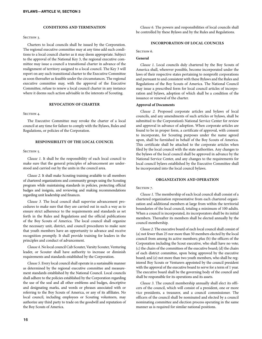#### **CONDITIONS AND TERMINATION**

#### SECTION 3.

Charters to local councils shall be issued by the Corporation. The regional executive committee may at any time add such conditions to a local council charter as it may deem appropriate. Subject to the approval of the National Key 3, the regional executive committee may issue a council a transitional charter in advance of the realignment of territory assigned to a local council. The Key 3 will report on any such transitional charter to the Executive Committee as soon thereafter as feasible under the circumstances. The regional executive committee may, with the approval of the Executive Committee, refuse to renew a local council charter in any instance where it deems such action advisable in the interests of Scouting.

#### **REVOCATION OF CHARTER**

#### SECTION 4.

The Executive Committee may revoke the charter of a local council at any time for failure to comply with the Bylaws, Rules and Regulations, or policies of the Corporation.

#### **RESPONSIBILITY OF THE LOCAL COUNCIL**

#### SECTION 5.

*Clause 1.* It shall be the responsibility of each local council to make sure that the general principles of advancement are understood and carried out by the units in the council area.

*Clause 2.* It shall make Scouting training available to all members of chartered organizations and community groups using the Scouting program while maintaining standards in policies, protecting official badges and insignia, and reviewing and making recommendations regarding unit leadership and finances.

*Clause 3.* The local council shall supervise advancement procedures to make sure that they are carried out in such a way as to ensure strict adherence to the requirements and standards as set forth in the Rules and Regulations and the official publications of the Boy Scouts of America. The local council shall organize the necessary unit, district, and council procedures to make sure that youth members have an opportunity to advance and receive recognition promptly. It shall provide training for leaders in the principles and conduct of advancement.

*Clause 4.* No local council Cub Scouter, Varsity Scouter, Venturing leader, or Scouter shall have authority to increase or diminish requirements and standards established by the Corporation.

*Clause 5.* Every local council shall operate in a sustainable manner as determined by the regional executive committee and measurement standards established by the National Council. Local councils shall adhere to the policies established by the Corporation regarding the use of the seal and all other emblems and badges, descriptive and designating marks, and words or phrases associated with or referring to the Boy Scouts of America, or any of its affiliates. No local council, including employees or Scouting volunteers, may authorize any third party to trade on the goodwill and reputation of the Boy Scouts of America.

*Clause 6.* The powers and responsibilities of local councils shall be controlled by these Bylaws and by the Rules and Regulations.

#### **INCORPORATION OF LOCAL COUNCILS**

Section 6.

#### **General**

*Clause 1.* Local councils duly chartered by the Boy Scouts of America shall, wherever possible, become incorporated under the laws of their respective states pertaining to nonprofit corporations and pursuant to and consistent with these Bylaws and the Rules and Regulations of the Boy Scouts of America. The National Council may issue a prescribed form for local council articles of incorporation and bylaws, adoption of which shall be a condition of the issuance or renewal of the charter.

#### **Approval of Documents**

*Clause 2.* Proposed corporate articles and bylaws of local councils, and any amendments of such articles or bylaws, shall be submitted to the Corporation's National Service Center for review and approval in advance of adoption. When corporate articles are found to be in proper form, a certificate of approval, with consent to incorporate, for Scouting purposes under the name agreed upon, shall be furnished in behalf of the Boy Scouts of America. This certificate shall be attached to the corporate articles when filed by the local council with the state authorities. Any changes to the bylaws of the local council shall be approved in advance by the National Service Center, and any changes to the requirements for local council bylaws established by the Executive Committee shall be incorporated into the local council bylaws.

#### **ORGANIZATION AND OPERATION**

#### SECTION<sub>7</sub>.

*Clause 1.* The membership of each local council shall consist of a chartered organization representative from each chartered organization and additional members at large from within the territorial boundaries of the local council, totaling a minimum of 100 adults. When a council is incorporated, its incorporators shall be its initial members. Thereafter its members shall be elected annually by the council membership.

*Clause 2.* The executive board of each local council shall consist of (a) not fewer than 25 nor more than 50 members elected by the local council from among its active members; plus (b) the officers of the Corporation including the Scout executive, who shall have no vote; (c) the chairs of the committees of the executive board; (d) the chairs of each district committee, upon being approved by the executive board; and (e) not more than two youth members, who shall be registered Boy Scouts or Venturers appointed by the council president with the approval of the executive board to serve for a term of 1 year. The executive board shall be the governing body of the council and shall be responsible for its operations and its assets.

*Clause 3.* The council membership annually shall elect its officers of the council, which will consist of a president, one or more vice presidents, a treasurer, and a council commissioner. The officers of the council shall be nominated and elected by a council nominating committee and election process operating in the same manner as is required for similar national positions.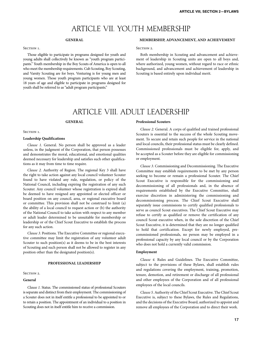### ARTICLE VII. YOUTH MEMBERSHIP

#### **GENERAL**

#### SECTION 1.

Those eligible to participate in programs designed for youth and young adults shall collectively be known as "youth program participants." Youth membership in the Boy Scouts of America is open to all who meet the membership requirements. Cub Scouting, Boy Scouting, and Varsity Scouting are for boys. Venturing is for young men and young women. Those youth program participants who are at least 18 years of age and eligible to participate in programs designed for youth shall be referred to as "adult program participants."

#### **MEMBERSHIP, ADVANCEMENT, AND ACHIEVEMENT**

SECTION<sub>2</sub>.

Both membership in Scouting and advancement and achievement of leadership in Scouting units are open to all boys and, where authorized, young women, without regard to race or ethnic background, and advancement and achievement of leadership in Scouting is based entirely upon individual merit.

### ARTICLE VIII. ADULT LEADERSHIP

#### **GENERAL**

#### SECTION<sub>1</sub>.

#### **Leadership Qualifications**

*Clause 1.* General. No person shall be approved as a leader unless, in the judgment of the Corporation, that person possesses and demonstrates the moral, educational, and emotional qualities deemed necessary for leadership and satisfies such other qualifications as it may from time to time require.

*Clause 2.* Authority of Region. The regional Key 3 shall have the right to take action against any local council volunteer Scouter found to have violated any rule, regulation, or policy of the National Council, including expiring the registration of any such Scouter. Any council volunteer whose registration is expired shall be deemed to have resigned any appointed or elected officer or board position on any council, area, or regional executive board or committee. This provision shall not be construed to limit (a) the ability of a local council to request action or (b) the authority of the National Council to take action with respect to any member or adult leader determined to be unsuitable for membership or leadership or of the Chief Scout Executive to establish the process for any such action.

*Clause 3.* Positions. The Executive Committee or regional executive committee may limit the registration of any volunteer adult Scouter to such position(s) as it deems to be in the best interests of Scouting and such person shall not be allowed to register in any position other than the designated position(s).

#### **PROFESSIONAL LEADERSHIP**

#### SECTION 2.

#### **General**

*Clause 1.* Status. The commissioned status of professional Scouters is separate and distinct from their employment. The commissioning of a Scouter does not in itself entitle a professional to be appointed to or to retain a position. The appointment of an individual to a position in Scouting does not in itself entitle him to receive a commission.

#### **Professional Scouters**

*Clause 2.* General. A corps of qualified and trained professional Scouters is essential to the success of the whole Scouting movement. To secure and retain such people for service in the national and local councils, their professional status must be clearly defined. Commissioned professionals must be eligible for, apply, and be accepted as a Scouter before they are eligible for commissioning or employment.

*Clause 3.* Commissioning and Decommissioning. The Executive Committee may establish requirements to be met by any person seeking to become or remain a professional Scouter. The Chief Scout Executive is responsible for the commissioning and decommissioning of all professionals and, in the absence of requirements established by the Executive Committee, shall exercise discretion in administering the commissioning and decommissioning process. The Chief Scout Executive shall separately issue commissions to certify qualified professionals to serve as council Scout executives. The Chief Scout Executive may refuse to certify as qualified or remove the certification of any council Scout executive when, in the sole discretion of the Chief Scout Executive, it is determined that they are no longer qualified to hold that certification. Except for newly employed, precommissioned professionals, no person may be employed in a professional capacity by any local council or by the Corporation who does not hold a currently valid commission.

#### **Employment**

*Clause 4.* Rules and Guidelines. The Executive Committee, subject to the provisions of these Bylaws, shall establish rules and regulations covering the employment, training, promotion, tenure, demotion, and retirement or discharge of all professional and other employees of the Corporation and of all professional employees of the local councils.

*Clause 5.* Authority of the Chief Scout Executive. The Chief Scout Executive is, subject to these Bylaws, the Rules and Regulations, and the decisions of the Executive Board, authorized to appoint and remove all employees of the Corporation and to direct their work.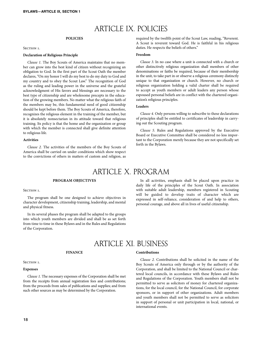### ARTICLE IX. POLICIES

#### **POLICIES**

#### SECTION 1.

#### **Declaration of Religious Principle**

*Clause 1.* The Boy Scouts of America maintains that no member can grow into the best kind of citizen without recognizing an obligation to God. In the first part of the Scout Oath the member declares, "On my honor I will do my best to do my duty to God and my country and to obey the Scout Law." The recognition of God as the ruling and leading power in the universe and the grateful acknowledgment of His favors and blessings are necessary to the best type of citizenship and are wholesome precepts in the education of the growing members. No matter what the religious faith of the members may be, this fundamental need of good citizenship should be kept before them. The Boy Scouts of America, therefore, recognizes the religious element in the training of the member, but it is absolutely nonsectarian in its attitude toward that religious training. Its policy is that the home and the organization or group with which the member is connected shall give definite attention to religious life.

#### **Activities**

*Clause 2.* The activities of the members of the Boy Scouts of America shall be carried on under conditions which show respect to the convictions of others in matters of custom and religion, as

required by the twelfth point of the Scout Law, reading, "Reverent. A Scout is reverent toward God. He is faithful in his religious duties. He respects the beliefs of others."

#### **Freedom**

*Clause 3.* In no case where a unit is connected with a church or other distinctively religious organization shall members of other denominations or faiths be required, because of their membership in the unit, to take part in or observe a religious ceremony distinctly unique to that organization or church. However, no church or religious organization holding a valid charter shall be required to accept as youth members or adult leaders any person whose espoused personal beliefs are in conflict with the chartered organization's religious principles.

#### **Leaders**

*Clause 4.* Only persons willing to subscribe to these declarations of principles shall be entitled to certificates of leadership in carrying out the Scouting program.

*Clause 5.* Rules and Regulations approved by the Executive Board or Executive Committee shall be considered no less important to the Corporation merely because they are not specifically set forth in the Bylaws.

### ARTICLE X. PROGRAM

#### **PROGRAM OBJECTIVES**

SECTION<sub>1</sub>.

The program shall be one designed to achieve objectives in character development, citizenship training, leadership, and mental and physical fitness.

In its several phases the program shall be adapted to the groups into which youth members are divided and shall be as set forth from time to time in these Bylaws and in the Rules and Regulations of the Corporation.

In all activities, emphasis shall be placed upon practice in daily life of the principles of the Scout Oath. In association with suitable adult leadership, members registered in Scouting will be guided to develop traits of character which are expressed in self-reliance, consideration of and help to others, personal courage, and above all in lives of useful citizenship.

### ARTICLE XI. BUSINESS

#### **FINANCE**

SECTION 1.

#### **Expenses**

*Clause 1.* The necessary expenses of the Corporation shall be met from the receipts from annual registration fees and contributions; from the proceeds from sales of publications and supplies; and from such other sources as may be determined by the Corporation.

#### **Contributions**

*Clause 2.* Contributions shall be solicited in the name of the Boy Scouts of America only through or by the authority of the Corporation, and shall be limited to the National Council or chartered local councils, in accordance with these Bylaws and Rules and Regulations of the Corporation. Youth members shall not be permitted to serve as solicitors of money for chartered organizations, for the local council, for the National Council, for corporate sponsors, or in support of other organizations. Adult members and youth members shall not be permitted to serve as solicitors in support of personal or unit participation in local, national, or international events.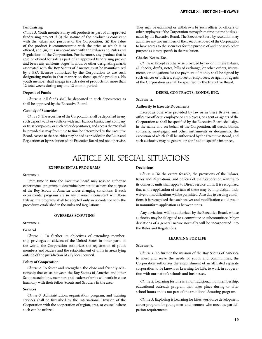#### **Fundraising**

*Clause 3.* Youth members may sell products as part of an approved fundraising project if (i) the nature of the product is consistent with the values and purpose of the Corporation; (ii) the value of the product is commensurate with the price at which it is offered; and (iii) it is in accordance with the Bylaws and Rules and Regulations of the Corporation. Furthermore, any product that is sold or offered for sale as part of an approved fundraising project and bears any emblems, logos, brands, or other designating marks associated with the Boy Scouts of America must be manufactured by a BSA licensee authorized by the Corporation to use such designating marks in that manner on those specific products. No youth member shall engage in such sales of products for more than 12 total weeks during any one 12-month period.

#### **Deposit of Funds**

*Clause 4.* All funds shall be deposited in such depositories as shall be approved by the Executive Board.

#### **Custody of Securities**

*Clause 5.* The securities of the Corporation shall be deposited in any such deposit vault or vaults or with such bank or banks, trust company or trust companies, or such other depositories, and access thereto shall be provided as may from time to time be determined by the Executive Board. Access to the securities may be had as provided in the Rules and Regulations or by resolution of the Executive Board and not otherwise. They may be examined or withdrawn by such officer or officers or other employees of the Corporation as may from time to time be designated by the Executive Board. The Executive Board by resolution may authorize any two members of the Executive Board of the Corporation to have access to the securities for the purpose of audit or such other purpose as it may specify in the resolution.

#### **Checks, Notes, Etc.**

*Clause 6.* Except as otherwise provided by law or in these Bylaws, all checks, drafts, notes, bills of exchange, or other orders, instruments, or obligations for the payment of money shall be signed by such officer or officers, employee or employees, or agent or agents of the Corporation as shall be specified by the Executive Board.

#### **DEEDS, CONTRACTS, BONDS, ETC.**

SECTION 2.

#### **Authority to Execute Documents**

Except as otherwise provided by law or in these Bylaws, such officer or officers, employee or employees, or agent or agents of the Corporation as shall be specified by the Executive Board shall sign, in the name and on behalf of the Corporation, all deeds, bonds, contracts, mortgages, and other instruments or documents, the execution of which shall be authorized by the Executive Board, and such authority may be general or confined to specific instances.

### ARTICLE XII. SPECIAL SITUATIONS

#### **EXPERIMENTAL PROGRAMS**

#### SECTION 1.

From time to time the Executive Board may wish to authorize experimental programs to determine how best to achieve the purpose of the Boy Scouts of America under changing conditions. If such experimental programs are in any manner inconsistent with these Bylaws, the programs shall be adopted only in accordance with the procedures established in the Rules and Regulations.

#### **OVERSEAS SCOUTING**

#### Section 2.

#### **General**

*Clause 1.* To further its objectives of extending membership privileges to citizens of the United States in other parts of the world, the Corporation authorizes the registration of youth members and leaders and the establishment of units in areas lying outside of the jurisdiction of any local council.

#### **Policy of Cooperation**

*Clause 2.* To foster and strengthen the close and friendly relationship that exists between the Boy Scouts of America and other Scout associations, members and leaders of units will work in close harmony with their fellow Scouts and Scouters in the area.

#### **Services**

*Clause 3.* Administration, organization, program, and training services shall be furnished by the International Division of the Corporation with the cooperation of region, area, or council where such can be utilized.

#### **Deviations**

*Clause 4.* To the extent feasible, the provisions of the Bylaws, Rules and Regulations, and policies of the Corporation relating to its domestic units shall apply to Direct Service units. It is recognized that as the application of certain of these may be impractical, their waiver or modifications will be permitted. Also due to varying conditions, it is recognized that such waiver and modification could result in nonuniform application as between units.

Any deviations will be authorized by the Executive Board, whose authority may be delegated to a committee or subcommittee. Major deviations of a general nature normally will be incorporated into the Rules and Regulations.

#### **LEARNING FOR LIFE**

#### SECTION 3.

*Clause 1.* To further the mission of the Boy Scouts of America to meet and serve the needs of youth and communities, the Corporation authorizes the establishment of an affiliated separate corporation to be known as Learning for Life, to work in cooperation with our nation's schools and businesses.

*Clause 2.* Learning for Life is a nontraditional, nonmembership, educational outreach program that takes place during or after school hours and is not part of the traditional Scouting program.

*Clause 3.* Exploring is Learning for Life's workforce development career program for young men and women who meet the participation requirements.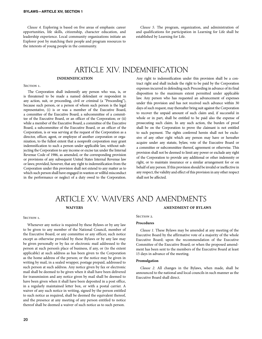*Clause 4.* Exploring is based on five areas of emphasis: career opportunities, life skills, citizenship, character education, and leadership experience. Local community organizations initiate an Explorer post by matching their people and program resources to the interests of young people in the community.

*Clause 5.* The program, organization, and administration of and qualifications for participation in Learning for Life shall be established by Learning for Life.

### ARTICLE XIV. INDEMNIFICATION

#### **INDEMNIFICATION**

#### SECTION 1.

The Corporation shall indemnify any person who was, is, or is threatened to be made a named defendant or respondent in any action, suit, or proceeding, civil or criminal (a "Proceeding"), because such person, or a person of whom such person is the legal representative, (i) is or was a member of the Executive Board, a committee of the Executive Board, a subcommittee of a committee of the Executive Board, or an officer of the Corporation; or (ii) while a member of the Executive Board, a committee of the Executive Board, a subcommittee of the Executive Board, or an officer of the Corporation, is or was serving at the request of the Corporation as a director, officer, agent, or employee of another corporation or organization, to the fullest extent that a nonprofit corporation may grant indemnification to such a person under applicable law, without subjecting the Corporation to any income or excise tax under the Internal Revenue Code of 1986, as amended, or the corresponding provision or provisions of any subsequent United States Internal Revenue law or laws; provided, however, that any right to indemnification from the Corporation under this provision shall not extend to any matter as to which such person shall have engaged in wanton or willful misconduct in the performance or neglect of a duty owed to the Corporation.

Any right to indemnification under this provision shall be a contract right and shall include the right to be paid by the Corporation expenses incurred in defending such Proceeding in advance of its final disposition to the maximum extent permitted under applicable law. Any person who has requested an advancement of expenses under this provision and has not received such advance within 30 days of such request, may thereafter bring suit against the Corporation to recover the unpaid amount of such claim and, if successful in whole or in part, shall be entitled to be paid also the expense of prosecuting such claim. In any such action, the burden of proof shall be on the Corporation to prove the claimant is not entitled to such payment. The rights conferred herein shall not be exclusive of any other right which any person may have or hereafter acquire under any statute, bylaw, vote of the Executive Board or a committee or subcommittee thereof, agreement or otherwise. This provision shall not be deemed to limit any power or exclude any right of the Corporation to provide any additional or other indemnity or right, or to maintain insurance or a similar arrangement for or on behalf of any person. If this provision should be invalid or ineffective in any respect, the validity and effect of this provision in any other respect shall not be affected.

#### **WAIVERS AMENDMENT OF BYLAWS** ARTICLE XV. WAIVERS AND AMENDMENTS

#### SECTION 1.

Whenever any notice is required by these Bylaws or by any law to be given to any member of the National Council, member of the Executive Board, or any committee or any officer, such notice except as otherwise provided by these Bylaws or by any law may be given personally or by fax or electronic mail addressed to the person at such person's place of business, if any, or (to the extent applicable) at such address as has been given to the Corporation as the home address of the person; or the notice may be given in writing by mail, in a sealed wrapper, postage prepaid, addressed to such person at such address. Any notice given by fax or electronic mail shall be deemed to be given when it shall have been delivered for transmission and any notice given by mail shall be deemed to have been given when it shall have been deposited in a post office, in a regularly maintained letter box, or with a postal carrier. A waiver of any such notice in writing, signed by the person entitled to such notice as required, shall be deemed the equivalent thereof, and the presence at any meeting of any person entitled to notice thereof shall be deemed a waiver of such notice as to such person.

#### SECTION 2.

#### **Procedures**

*Clause 1.* These Bylaws may be amended at any meeting of the Executive Board by the affirmative vote of a majority of the whole Executive Board; upon the recommendation of the Executive Committee of the Executive Board; or when the proposed amendment has been sent to the members of the Executive Board at least 15 days in advance of the meeting.

#### **Promulgation**

*Clause 2.* All changes in the Bylaws, when made, shall be announced to the national and local councils in such manner as the Executive Board shall direct.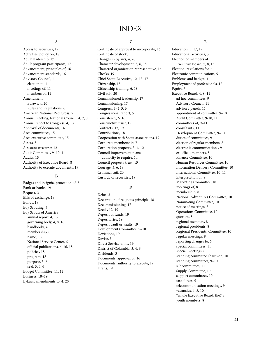### INDEX

### **A**

Access to securities, 19 Activities, policy on, 18 Adult leadership, 17 Adult program participants, 17 Advancement, principles of, 16 Advancement standards, 16 Advisory Council, 11 election to, 11 meetings of, 11 members of, 11 Amendment Bylaws, 4, 20 Rules and Regulations, 6 American National Red Cross, 5 Annual meeting, National Council, 4, 7, 8 Annual report to Congress, 4, 13 Approval of documents, 16 Area committees, 15 Area executive committee, 15 Assets, 3 Assistant treasurer, 12 Audit Committee, 9–10, 11 Audits, 15 Authority of Executive Board, 8 Authority to execute documents, 19

#### **B**

Badges and insignia, protection of, 5 Bank or banks, 19 Bequest, 3 Bills of exchange, 19 Bonds, 19 Boy Scouting, 5 Boy Scouts of America annual report, 4, 13 governing body, 4, 8, 16 handbooks, 6 membership, 8 name, 3, 6 National Service Center, 6 official publications, 6, 16, 18 policies, 18 program, 18 purpose, 3, 6 seal, 3, 4, 6 Budget Committee, 11, 12 Business, 18–19 Bylaws, amendments to, 4, 20

#### **C**

Certificate of approval to incorporate, 16 Certificate of stock, 3 Changes in bylaws, 4, 20 Character development, 5, 6, 18 Chartered organization representative, 16 Checks, 19 Chief Scout Executive, 12–13, 17 Citizenship, 18 Citizenship training, 6, 18 Civil suit, 20 Commissioned leadership, 17 Commissioning, 17 Congress, 3–4, 5, 6 Congressional report, 5 Consistency, 6, 16 Constructive trust, 15 Contracts, 12, 19 Contributions, 18 Cooperation with Scout associations, 19 Corporate membership, 7 Corporation property, 3–4, 12 Council improvement plans, authority to require, 14 Council property trust, 15 Courage, 3, 6, 18 Criminal suit, 20 Custody of securities, 19

#### **D**

Debts, 3 Declaration of religious principle, 18 Decommissioning, 17 Deeds, 12, 19 Deposit of funds, 19 Depositories, 19 Deposit vault or vaults, 19 Development Committee, 9–10 Deviations, 19 Devise, 3 Direct Service units, 19 District of Columbia, 3, 4, 6 Dividends, 3 Documents, approval of, 16 Documents, authority to execute, 19 Drafts, 19

#### **E**

Education, 5, 17, 19 Educational activities, 5 Election of members of Executive Board, 7, 8, 13 Election, regulations for, 4 Electronic communications, 9 Emblems and badges, 4 Employment of professionals, 17 Equity, 3 Executive Board, 4, 8–11 ad hoc committees, 9 Advisory Council, 11 advisory panels, 11 appointment of committee, 9–10 Audit Committee, 9-10, 11 committees of, 9–11 consultants, 11 Development Committee, 9–10 duties of committees, 9 election of regular members, 8 electronic communications, 9 ex officio members, 8 Finance Committee, 10 Human Resources Committee, 10 Information Delivery Committee, 10 International Committee, 10, 11 interpretation of, 8 Marketing Committee, 10 meetings of, 8 membership, 8 National Adventures Committee, 10 Nominating Committee, 10 notice of meetings, 8 Operations Committee, 10 quorum, 8 regional members, 8 regional presidents, 8 Regional Presidents' Committee, 10 regular meetings, 8 reporting changes to, 6 special committees, 11 special meetings, 8 standing committee chairmen, 10 standing committees, 9–10 subcommittees, 11 Supply Committee, 10 support committees, 10 task forces, 9 telecommunication meetings, 9 vacancies, 4, 8, 10 "whole Executive Board, the," 8 youth members, 8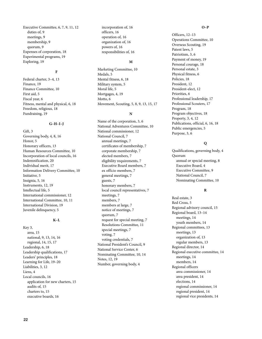Executive Committee, 6, 7, 9, 11, 12 duties of, 9 meetings, 9 membership, 9 quorum, 9 Expenses of corporation, 18 Experimental programs, 19 Exploring, 19

#### **F**

Federal charter, 3–4, 13 Finance, 19 Finance Committee, 10 First aid, 5 Fiscal year, 6 Fitness, mental and physical, 6, 18 Freedom, religious, 18 Fundraising, 19

#### **G–H–I–J**

Gift, 3 Governing body, 4, 8, 16 Honor, 5 Honorary officers, 13 Human Resources Committee, 10 Incorporation of local councils, 16 Indemnification, 20 Individual merit, 17 Information Delivery Committee, 10 Initiative, 5 Insignia, 5, 16 Instruments, 12, 19 Intellectual life, 5 International commissioner, 12 International Committee, 10, 11 International Division, 19 Juvenile delinquency, 5

#### **K–L**

Key 3, area, 15 national, 9, 13, 14, 16 regional, 14, 15, 17 Leadership, 6, 18 Leadership qualifications, 17 Leaders' principles, 18 Learning for Life, 19–20 Liabilities, 3, 12 Liens, 4 Local councils, 16 application for new charters, 15 audits of, 15 charters to, 15 executive boards, 16

incorporation of, 16 officers, 16 operation of, 16 organization of, 16 powers of, 16 responsibilities of, 16

#### **M**

Marketing Committee, 10 Medals, 5 Mental fitness, 6, 18 Military system, 5 Moral life, 5 Mortgages, 4, 19 Motto, 6 Movement, Scouting, 5, 8, 9, 13, 15, 17

#### **N**

Name of the corporation, 3, 6 National Adventures Committee, 10 National commissioner, 12 National Council, 7 annual meetings, 7 certificates of membership, 7 corporate membership, 7 elected members, 7 eligibility requirements, 7 Executive Board members, 7 ex officio members, 7 general meetings, 7 guests, 7 honorary members, 7 local council representatives, 7 meetings, 7 members, 7 members at large, 7 notice of meetings, 7 quorum, 7 request for special meeting, 7 Resolutions Committee, 11 special meetings, 7 voting, 7 voting credentials, 7 National President's Council, 9 National Service Center, 6 Nominating Committee, 10, 14 Notes, 12, 19 Number, governing body, 4

#### **O–P**

Officers, 12–13 Operations Committee, 10 Overseas Scouting, 19 Patent laws, 5 Patriotism, 3, 6 Payment of money, 19 Personal courage, 18 Personal estate, 3 Physical fitness, 6 Policies, 18 President, 12 President-elect, 12 Priorities, 6 Professional leadership, 17 Professional Scouters, 17 Program, 18 Program objectives, 18 Property, 3, 4, 12 Publications, official, 6, 16, 18 Public emergencies, 5 Purpose, 3, 6

#### **Q**

Qualifications, governing body, 4 Quorum annual or special meeting, 8 Executive Board, 4 Executive Committee, 9 National Council, 7 Nominating Committee, 10

#### **R**

Real estate, 3 Red Cross, 5 Regional advisory council, 15 Regional board, 13–14 meetings, 14 youth members, 14 Regional committees, 13 meetings, 13 organization of, 13 regular members, 13 Regional director, 14 Regional executive committee, 14 meetings, 14 members, 14 Regional officers area commissioner, 14 area president, 14 elections, 14 regional commissioner, 14 regional president, 14 regional vice presidents, 14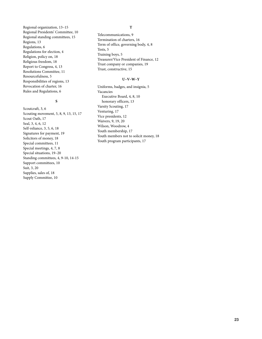Regional organization, 13–15 Regional Presidents' Committee, 10 Regional standing committees, 15 Regions, 13 Regulations, 6 Regulations for election, 4 Religion, policy on, 18 Religious freedom, 18 Report to Congress, 4, 13 Resolutions Committee, 11 Resourcefulness, 5 Responsibilities of regions, 13 Revocation of charter, 16 Rules and Regulations, 6

#### **S**

Scoutcraft, 3, 6 Scouting movement, 5, 8, 9, 13, 15, 17 Scout Oath, 17 Seal, 3, 4, 6, 12 Self-reliance, 3, 5, 6, 18 Signatures for payment, 19 Solicitors of money, 18 Special committees, 11 Special meetings, 4, 7, 8 Special situations, 19–20 Standing committees, 4, 9-10, 14-15 Support committees, 10 Suit, 3, 20 Supplies, sales of, 18 Supply Committee, 10

#### **T**

Telecommunications, 9 Termination of charters, 16 Term of office, governing body, 4, 8 Tests, 5 Training boys, 5 Treasurer/Vice President of Finance, 12 Trust company or companies, 19 Trust, constructive, 15

#### **U–V–W–Y**

Uniforms, badges, and insignia, 5 Vacancies Executive Board, 4, 8, 10 honorary officers, 13 Varsity Scouting, 17 Venturing, 17 Vice presidents, 12 Waivers, 9, 19, 20 Wilson, Woodrow, 4 Youth membership, 17 Youth members not to solicit money, 18 Youth program participants, 17